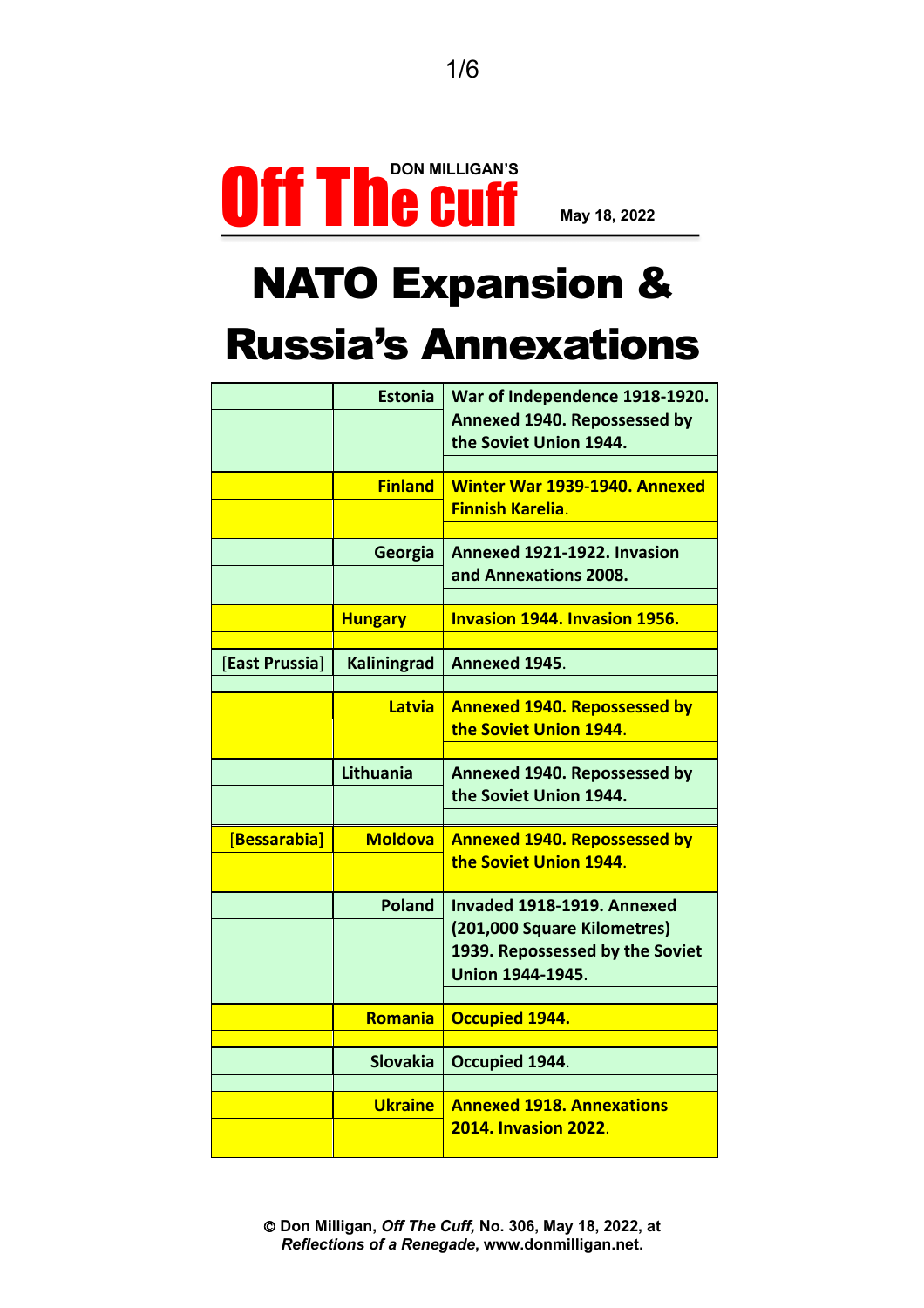

## NATO Expansion & Russia's Annexations

|                     | <b>Estonia</b>     | War of Independence 1918-1920.<br>Annexed 1940. Repossessed by<br>the Soviet Union 1944.                                |
|---------------------|--------------------|-------------------------------------------------------------------------------------------------------------------------|
|                     | <b>Finland</b>     | Winter War 1939-1940. Annexed<br><b>Finnish Karelia.</b>                                                                |
|                     | Georgia            | Annexed 1921-1922. Invasion<br>and Annexations 2008.                                                                    |
|                     | <b>Hungary</b>     | <b>Invasion 1944. Invasion 1956.</b>                                                                                    |
| [East Prussia]      | <b>Kaliningrad</b> | Annexed 1945.                                                                                                           |
|                     | Latvia             | <b>Annexed 1940. Repossessed by</b><br>the Soviet Union 1944.                                                           |
|                     | Lithuania          | Annexed 1940. Repossessed by<br>the Soviet Union 1944.                                                                  |
| <b>Bessarabia</b> ] | <b>Moldova</b>     | <b>Annexed 1940. Repossessed by</b><br>the Soviet Union 1944.                                                           |
|                     | <b>Poland</b>      | Invaded 1918-1919. Annexed<br>(201,000 Square Kilometres)<br>1939. Repossessed by the Soviet<br><b>Union 1944-1945.</b> |
|                     | Romania            | <b>Occupied 1944.</b>                                                                                                   |
|                     | <b>Slovakia</b>    | Occupied 1944.                                                                                                          |
|                     | <b>Ukraine</b>     | <b>Annexed 1918, Annexations</b><br><b>2014. Invasion 2022.</b>                                                         |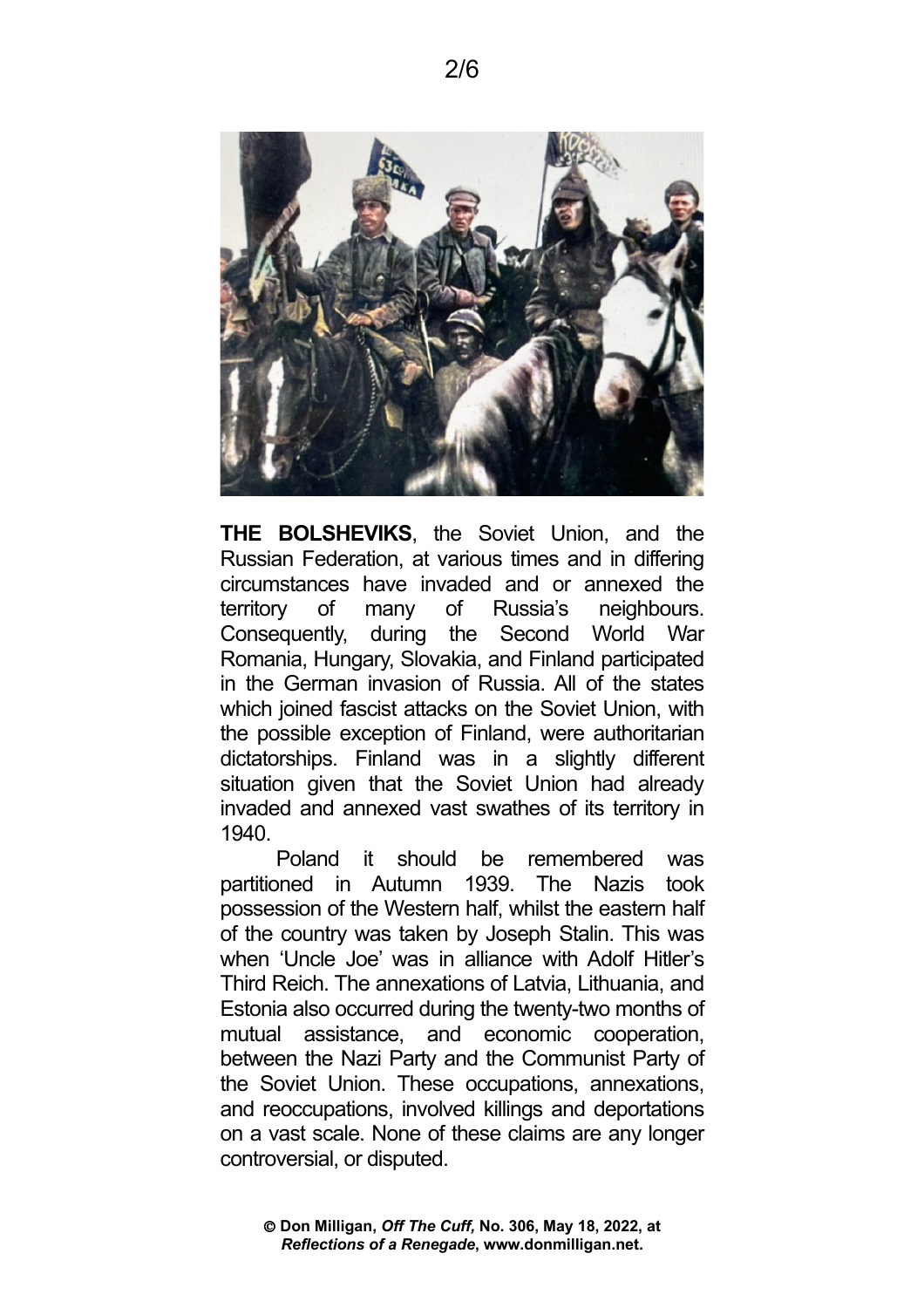

**THE BOLSHEVIKS**, the Soviet Union, and the Russian Federation, at various times and in differing circumstances have invaded and or annexed the territory of many of Russia's neighbours. Consequently, during the Second World War Romania, Hungary, Slovakia, and Finland participated in the German invasion of Russia. All of the states which joined fascist attacks on the Soviet Union, with the possible exception of Finland, were authoritarian dictatorships. Finland was in a slightly different situation given that the Soviet Union had already invaded and annexed vast swathes of its territory in 1940.

Poland it should be remembered was partitioned in Autumn 1939. The Nazis took possession of the Western half, whilst the eastern half of the country was taken by Joseph Stalin. This was when 'Uncle Joe' was in alliance with Adolf Hitler's Third Reich. The annexations of Latvia, Lithuania, and Estonia also occurred during the twenty-two months of mutual assistance, and economic cooperation, between the Nazi Party and the Communist Party of the Soviet Union. These occupations, annexations, and reoccupations, involved killings and deportations on a vast scale. None of these claims are any longer controversial, or disputed.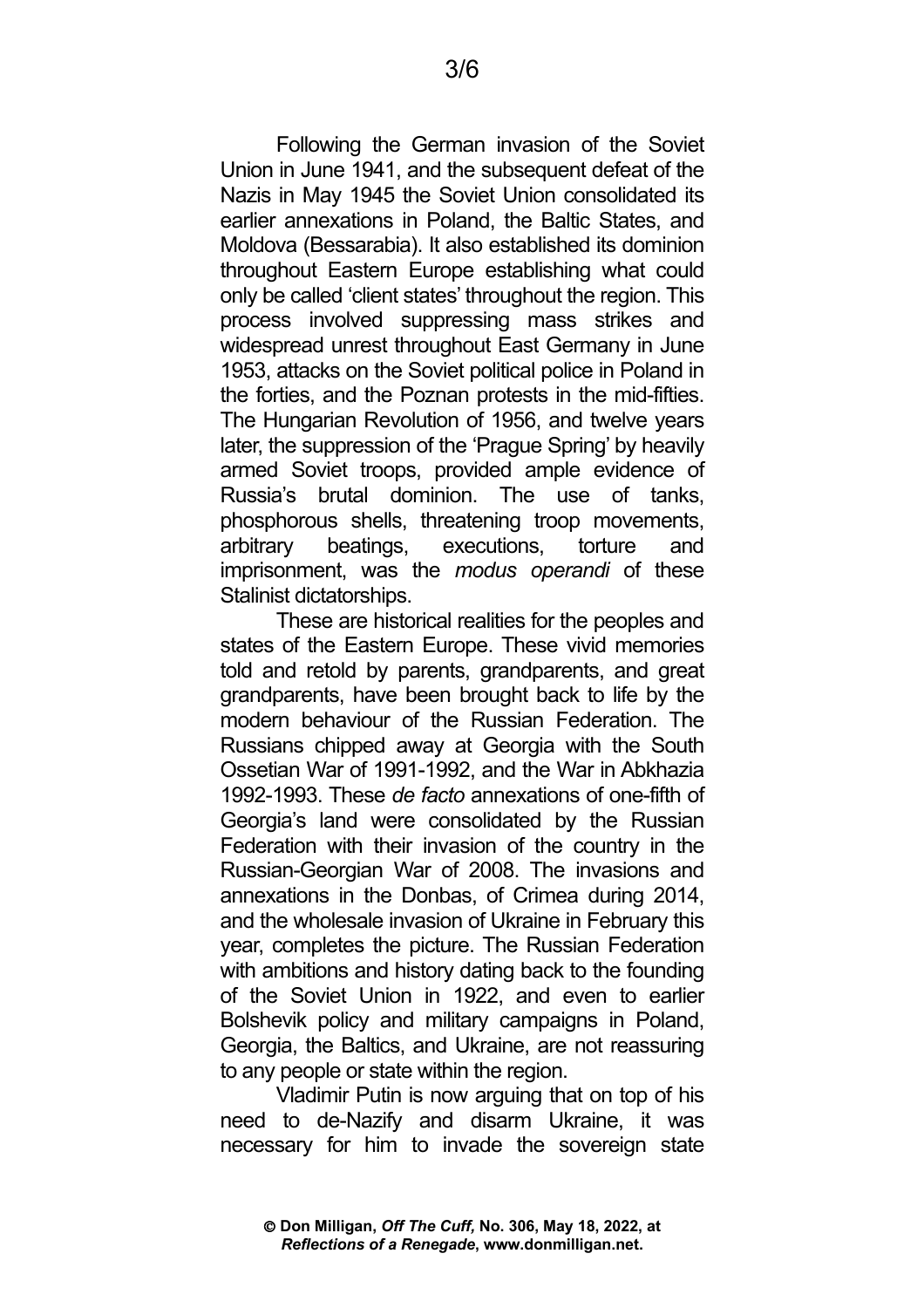Following the German invasion of the Soviet Union in June 1941, and the subsequent defeat of the Nazis in May 1945 the Soviet Union consolidated its earlier annexations in Poland, the Baltic States, and Moldova (Bessarabia). It also established its dominion throughout Eastern Europe establishing what could only be called 'client states' throughout the region. This process involved suppressing mass strikes and widespread unrest throughout East Germany in June 1953, attacks on the Soviet political police in Poland in the forties, and the Poznan protests in the mid-fifties. The Hungarian Revolution of 1956, and twelve years later, the suppression of the 'Prague Spring' by heavily armed Soviet troops, provided ample evidence of Russia's brutal dominion. The use of tanks, phosphorous shells, threatening troop movements, arbitrary beatings, executions, torture and imprisonment, was the *modus operandi* of these Stalinist dictatorships.

These are historical realities for the peoples and states of the Eastern Europe. These vivid memories told and retold by parents, grandparents, and great grandparents, have been brought back to life by the modern behaviour of the Russian Federation. The Russians chipped away at Georgia with the South Ossetian War of 1991-1992, and the War in Abkhazia 1992-1993. These *de facto* annexations of one-fifth of Georgia's land were consolidated by the Russian Federation with their invasion of the country in the Russian-Georgian War of 2008. The invasions and annexations in the Donbas, of Crimea during 2014, and the wholesale invasion of Ukraine in February this year, completes the picture. The Russian Federation with ambitions and history dating back to the founding of the Soviet Union in 1922, and even to earlier Bolshevik policy and military campaigns in Poland, Georgia, the Baltics, and Ukraine, are not reassuring to any people or state within the region.

Vladimir Putin is now arguing that on top of his need to de-Nazify and disarm Ukraine, it was necessary for him to invade the sovereign state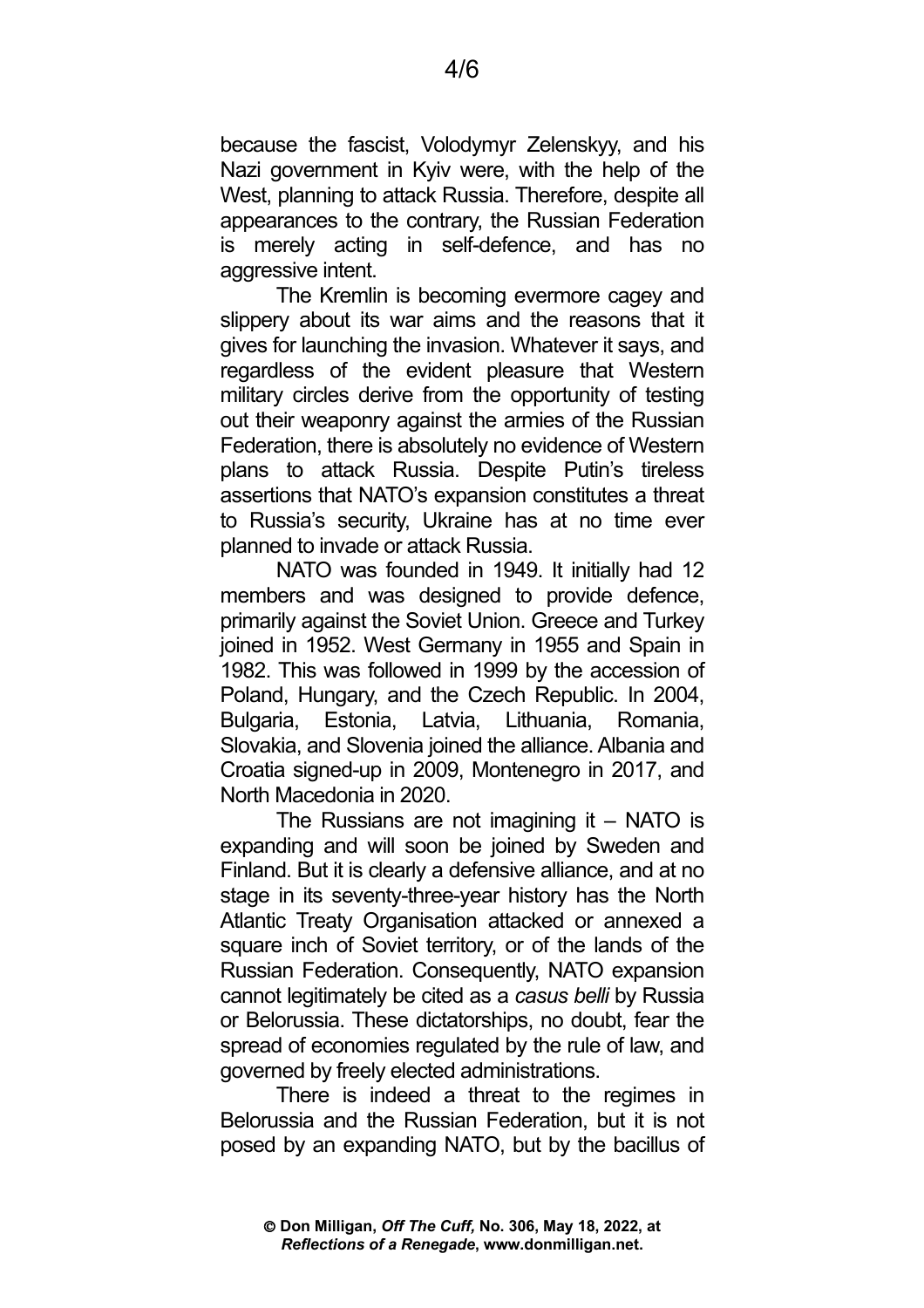because the fascist, Volodymyr Zelenskyy, and his Nazi government in Kyiv were, with the help of the West, planning to attack Russia. Therefore, despite all appearances to the contrary, the Russian Federation is merely acting in self-defence, and has no aggressive intent.

The Kremlin is becoming evermore cagey and slippery about its war aims and the reasons that it gives for launching the invasion. Whatever it says, and regardless of the evident pleasure that Western military circles derive from the opportunity of testing out their weaponry against the armies of the Russian Federation, there is absolutely no evidence of Western plans to attack Russia. Despite Putin's tireless assertions that NATO's expansion constitutes a threat to Russia's security, Ukraine has at no time ever planned to invade or attack Russia.

NATO was founded in 1949. It initially had 12 members and was designed to provide defence, primarily against the Soviet Union. Greece and Turkey joined in 1952. West Germany in 1955 and Spain in 1982. This was followed in 1999 by the accession of Poland, Hungary, and the Czech Republic. In 2004, Bulgaria, Estonia, Latvia, Lithuania, Romania, Slovakia, and Slovenia joined the alliance. Albania and Croatia signed-up in 2009, Montenegro in 2017, and North Macedonia in 2020.

The Russians are not imagining it – NATO is expanding and will soon be joined by Sweden and Finland. But it is clearly a defensive alliance, and at no stage in its seventy-three-year history has the North Atlantic Treaty Organisation attacked or annexed a square inch of Soviet territory, or of the lands of the Russian Federation. Consequently, NATO expansion cannot legitimately be cited as a *casus belli* by Russia or Belorussia. These dictatorships, no doubt, fear the spread of economies regulated by the rule of law, and governed by freely elected administrations.

There is indeed a threat to the regimes in Belorussia and the Russian Federation, but it is not posed by an expanding NATO, but by the bacillus of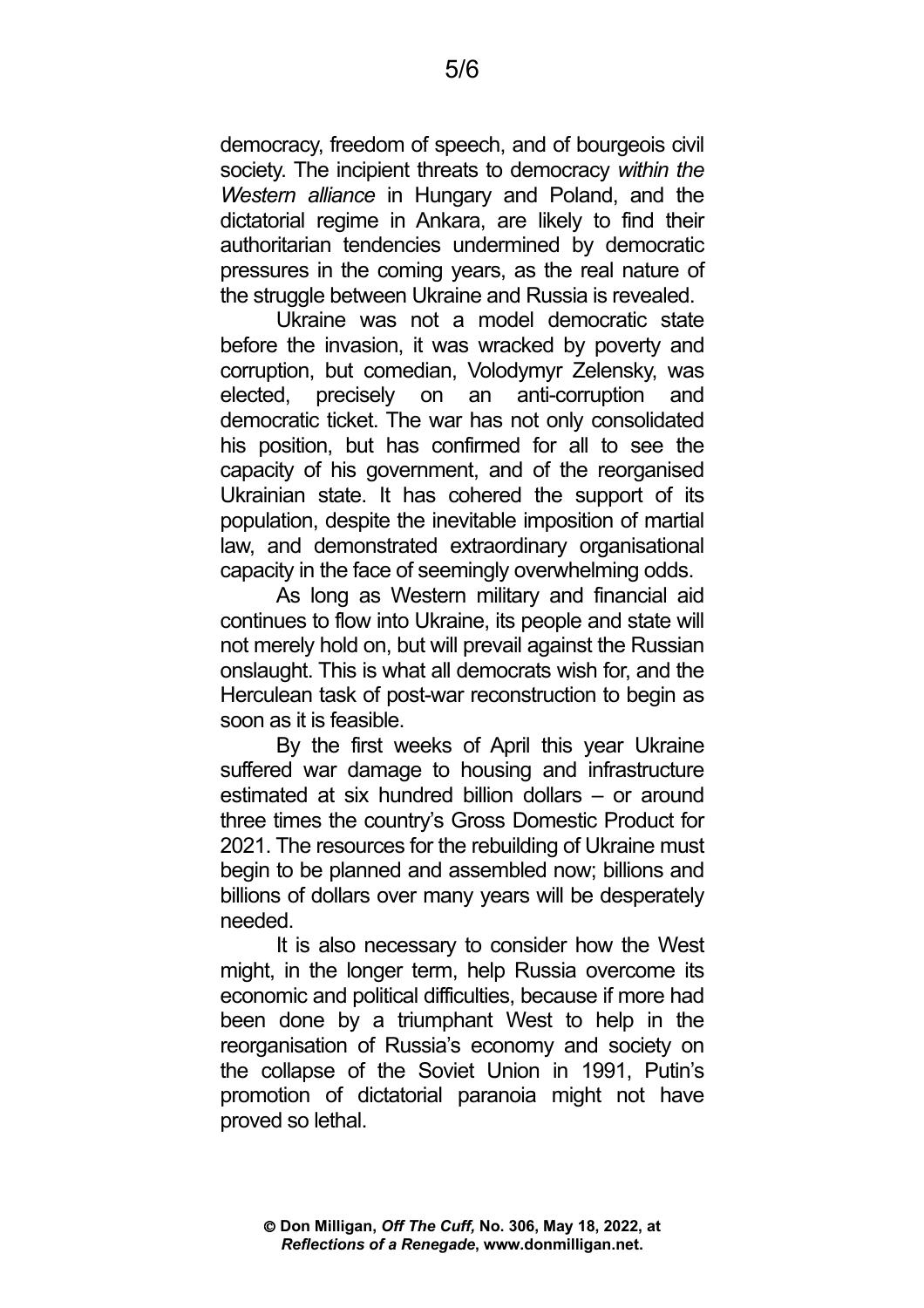democracy, freedom of speech, and of bourgeois civil society. The incipient threats to democracy *within the Western alliance* in Hungary and Poland, and the dictatorial regime in Ankara, are likely to find their authoritarian tendencies undermined by democratic pressures in the coming years, as the real nature of the struggle between Ukraine and Russia is revealed.

Ukraine was not a model democratic state before the invasion, it was wracked by poverty and corruption, but comedian, Volodymyr Zelensky, was elected, precisely on an anti-corruption and democratic ticket. The war has not only consolidated his position, but has confirmed for all to see the capacity of his government, and of the reorganised Ukrainian state. It has cohered the support of its population, despite the inevitable imposition of martial law, and demonstrated extraordinary organisational capacity in the face of seemingly overwhelming odds.

As long as Western military and financial aid continues to flow into Ukraine, its people and state will not merely hold on, but will prevail against the Russian onslaught. This is what all democrats wish for, and the Herculean task of post-war reconstruction to begin as soon as it is feasible.

By the first weeks of April this year Ukraine suffered war damage to housing and infrastructure estimated at six hundred billion dollars – or around three times the country's Gross Domestic Product for 2021. The resources for the rebuilding of Ukraine must begin to be planned and assembled now; billions and billions of dollars over many years will be desperately needed.

It is also necessary to consider how the West might, in the longer term, help Russia overcome its economic and political difficulties, because if more had been done by a triumphant West to help in the reorganisation of Russia's economy and society on the collapse of the Soviet Union in 1991, Putin's promotion of dictatorial paranoia might not have proved so lethal.